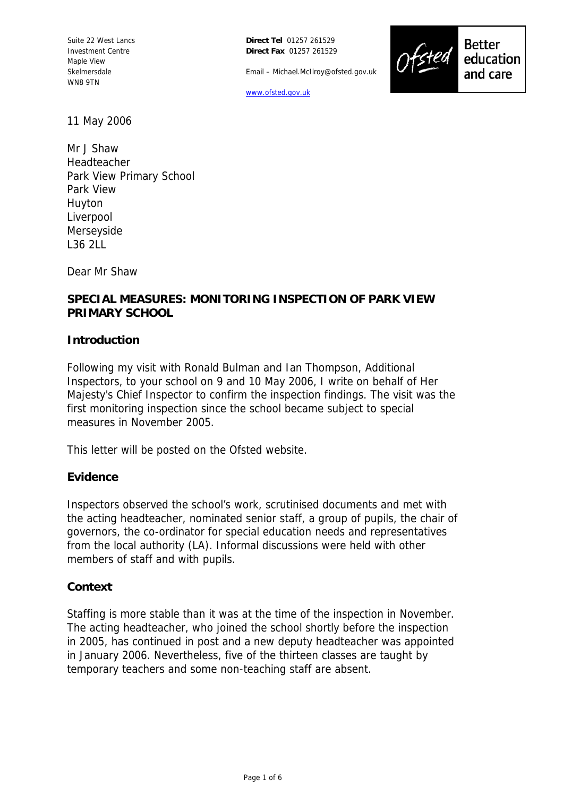**Direct Tel** 01257 261529 **Direct Fax** 01257 261529

Email – Michael.McIlroy@ofsted.gov.uk



**Better** 

education and care

[www.ofsted.gov.uk](http://www.ofsted.gov.uk/)

11 May 2006

Mr J Shaw Headteacher Park View Primary School Park View Huyton Liverpool Merseyside L36 2LL

Dear Mr Shaw

## **SPECIAL MEASURES: MONITORING INSPECTION OF PARK VIEW PRIMARY SCHOOL**

#### **Introduction**

Following my visit with Ronald Bulman and Ian Thompson, Additional Inspectors, to your school on 9 and 10 May 2006, I write on behalf of Her Majesty's Chief Inspector to confirm the inspection findings. The visit was the first monitoring inspection since the school became subject to special measures in November 2005.

This letter will be posted on the Ofsted website.

#### **Evidence**

Inspectors observed the school's work, scrutinised documents and met with the acting headteacher, nominated senior staff, a group of pupils, the chair of governors, the co-ordinator for special education needs and representatives from the local authority (LA). Informal discussions were held with other members of staff and with pupils.

### **Context**

Staffing is more stable than it was at the time of the inspection in November. The acting headteacher, who joined the school shortly before the inspection in 2005, has continued in post and a new deputy headteacher was appointed in January 2006. Nevertheless, five of the thirteen classes are taught by temporary teachers and some non-teaching staff are absent.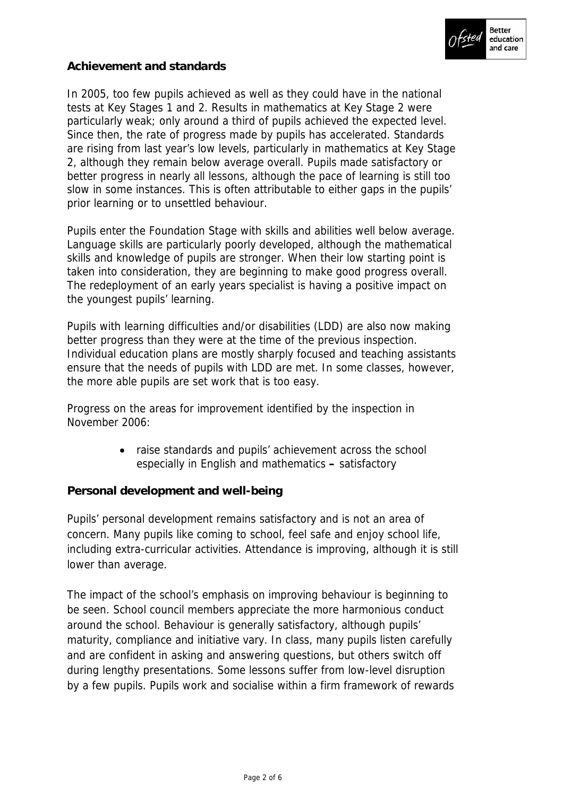

## **Achievement and standards**

In 2005, too few pupils achieved as well as they could have in the national tests at Key Stages 1 and 2. Results in mathematics at Key Stage 2 were particularly weak; only around a third of pupils achieved the expected level. Since then, the rate of progress made by pupils has accelerated. Standards are rising from last year's low levels, particularly in mathematics at Key Stage 2, although they remain below average overall. Pupils made satisfactory or better progress in nearly all lessons, although the pace of learning is still too slow in some instances. This is often attributable to either gaps in the pupils' prior learning or to unsettled behaviour.

Pupils enter the Foundation Stage with skills and abilities well below average. Language skills are particularly poorly developed, although the mathematical skills and knowledge of pupils are stronger. When their low starting point is taken into consideration, they are beginning to make good progress overall. The redeployment of an early years specialist is having a positive impact on the youngest pupils' learning.

Pupils with learning difficulties and/or disabilities (LDD) are also now making better progress than they were at the time of the previous inspection. Individual education plans are mostly sharply focused and teaching assistants ensure that the needs of pupils with LDD are met. In some classes, however, the more able pupils are set work that is too easy.

Progress on the areas for improvement identified by the inspection in November 2006:

> • raise standards and pupils' achievement across the school especially in English and mathematics **–** satisfactory

### **Personal development and well-being**

Pupils' personal development remains satisfactory and is not an area of concern. Many pupils like coming to school, feel safe and enjoy school life, including extra-curricular activities. Attendance is improving, although it is still lower than average.

The impact of the school's emphasis on improving behaviour is beginning to be seen. School council members appreciate the more harmonious conduct around the school. Behaviour is generally satisfactory, although pupils' maturity, compliance and initiative vary. In class, many pupils listen carefully and are confident in asking and answering questions, but others switch off during lengthy presentations. Some lessons suffer from low-level disruption by a few pupils. Pupils work and socialise within a firm framework of rewards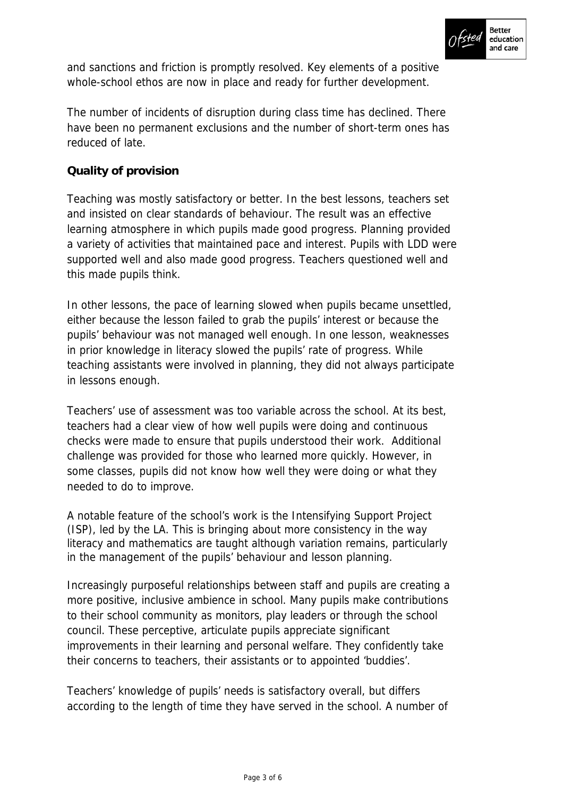

and sanctions and friction is promptly resolved. Key elements of a positive whole-school ethos are now in place and ready for further development.

The number of incidents of disruption during class time has declined. There have been no permanent exclusions and the number of short-term ones has reduced of late.

# **Quality of provision**

Teaching was mostly satisfactory or better. In the best lessons, teachers set and insisted on clear standards of behaviour. The result was an effective learning atmosphere in which pupils made good progress. Planning provided a variety of activities that maintained pace and interest. Pupils with LDD were supported well and also made good progress. Teachers questioned well and this made pupils think.

In other lessons, the pace of learning slowed when pupils became unsettled, either because the lesson failed to grab the pupils' interest or because the pupils' behaviour was not managed well enough. In one lesson, weaknesses in prior knowledge in literacy slowed the pupils' rate of progress. While teaching assistants were involved in planning, they did not always participate in lessons enough.

Teachers' use of assessment was too variable across the school. At its best, teachers had a clear view of how well pupils were doing and continuous checks were made to ensure that pupils understood their work. Additional challenge was provided for those who learned more quickly. However, in some classes, pupils did not know how well they were doing or what they needed to do to improve.

A notable feature of the school's work is the Intensifying Support Project (ISP), led by the LA. This is bringing about more consistency in the way literacy and mathematics are taught although variation remains, particularly in the management of the pupils' behaviour and lesson planning.

Increasingly purposeful relationships between staff and pupils are creating a more positive, inclusive ambience in school. Many pupils make contributions to their school community as monitors, play leaders or through the school council. These perceptive, articulate pupils appreciate significant improvements in their learning and personal welfare. They confidently take their concerns to teachers, their assistants or to appointed 'buddies'.

Teachers' knowledge of pupils' needs is satisfactory overall, but differs according to the length of time they have served in the school. A number of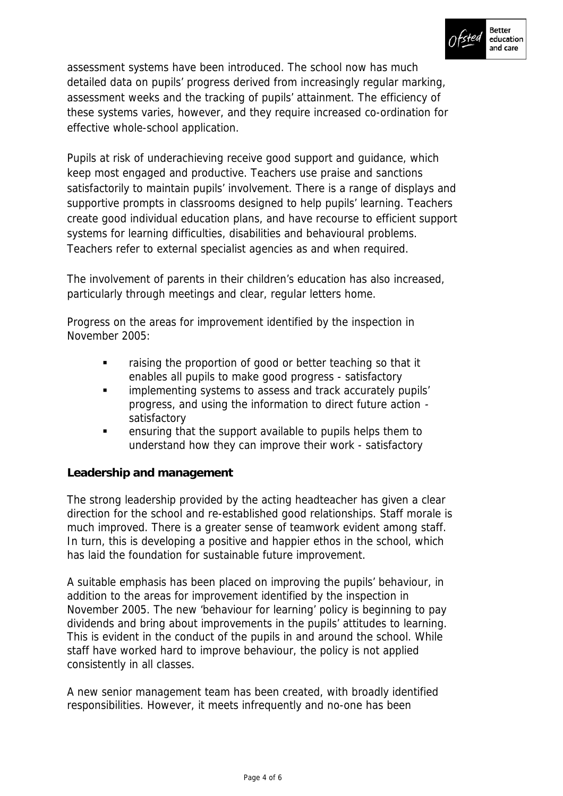

assessment systems have been introduced. The school now has much detailed data on pupils' progress derived from increasingly regular marking, assessment weeks and the tracking of pupils' attainment. The efficiency of these systems varies, however, and they require increased co-ordination for effective whole-school application.

Pupils at risk of underachieving receive good support and guidance, which keep most engaged and productive. Teachers use praise and sanctions satisfactorily to maintain pupils' involvement. There is a range of displays and supportive prompts in classrooms designed to help pupils' learning. Teachers create good individual education plans, and have recourse to efficient support systems for learning difficulties, disabilities and behavioural problems. Teachers refer to external specialist agencies as and when required.

The involvement of parents in their children's education has also increased, particularly through meetings and clear, regular letters home.

Progress on the areas for improvement identified by the inspection in November 2005:

- raising the proportion of good or better teaching so that it enables all pupils to make good progress - satisfactory
- progress, and using the information to direct future action -**EXEDEE 1** implementing systems to assess and track accurately pupils' satisfactory
- ensuring that the support available to pupils helps them to understand how they can improve their work - satisfactory

# **Leadership and management**

The strong leadership provided by the acting headteacher has given a clear direction for the school and re-established good relationships. Staff morale is much improved. There is a greater sense of teamwork evident among staff. In turn, this is developing a positive and happier ethos in the school, which has laid the foundation for sustainable future improvement.

A suitable emphasis has been placed on improving the pupils' behaviour, in addition to the areas for improvement identified by the inspection in November 2005. The new 'behaviour for learning' policy is beginning to pay dividends and bring about improvements in the pupils' attitudes to learning. This is evident in the conduct of the pupils in and around the school. While staff have worked hard to improve behaviour, the policy is not applied consistently in all classes.

A new senior management team has been created, with broadly identified responsibilities. However, it meets infrequently and no-one has been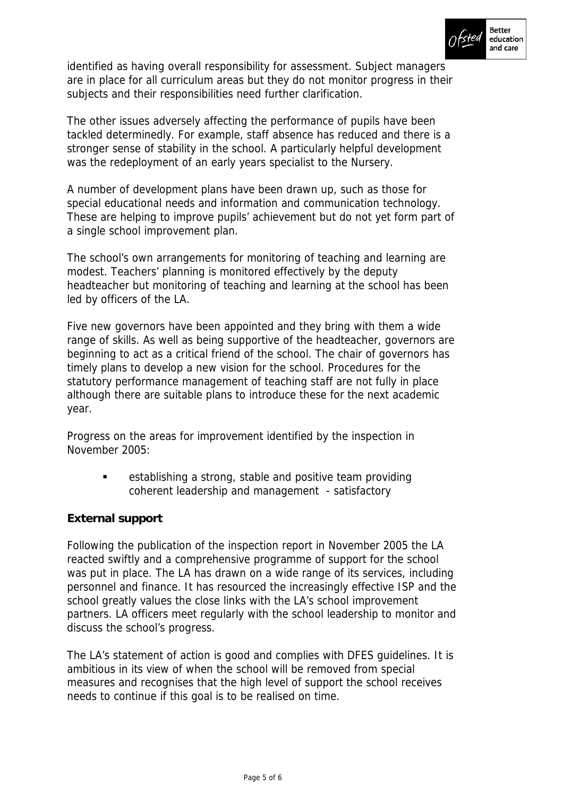

identified as having overall responsibility for assessment. Subject managers are in place for all curriculum areas but they do not monitor progress in their subjects and their responsibilities need further clarification.

The other issues adversely affecting the performance of pupils have been tackled determinedly. For example, staff absence has reduced and there is a stronger sense of stability in the school. A particularly helpful development was the redeployment of an early years specialist to the Nursery.

A number of development plans have been drawn up, such as those for special educational needs and information and communication technology. These are helping to improve pupils' achievement but do not yet form part of a single school improvement plan.

The school's own arrangements for monitoring of teaching and learning are modest. Teachers' planning is monitored effectively by the deputy headteacher but monitoring of teaching and learning at the school has been led by officers of the LA.

Five new governors have been appointed and they bring with them a wide range of skills. As well as being supportive of the headteacher, governors are beginning to act as a critical friend of the school. The chair of governors has timely plans to develop a new vision for the school. Procedures for the statutory performance management of teaching staff are not fully in place although there are suitable plans to introduce these for the next academic year.

Progress on the areas for improvement identified by the inspection in November 2005:

> establishing a strong, stable and positive team providing coherent leadership and management - satisfactory

# **External support**

Following the publication of the inspection report in November 2005 the LA reacted swiftly and a comprehensive programme of support for the school was put in place. The LA has drawn on a wide range of its services, including personnel and finance. It has resourced the increasingly effective ISP and the school greatly values the close links with the LA's school improvement partners. LA officers meet regularly with the school leadership to monitor and discuss the school's progress.

The LA's statement of action is good and complies with DFES guidelines. It is ambitious in its view of when the school will be removed from special measures and recognises that the high level of support the school receives needs to continue if this goal is to be realised on time.